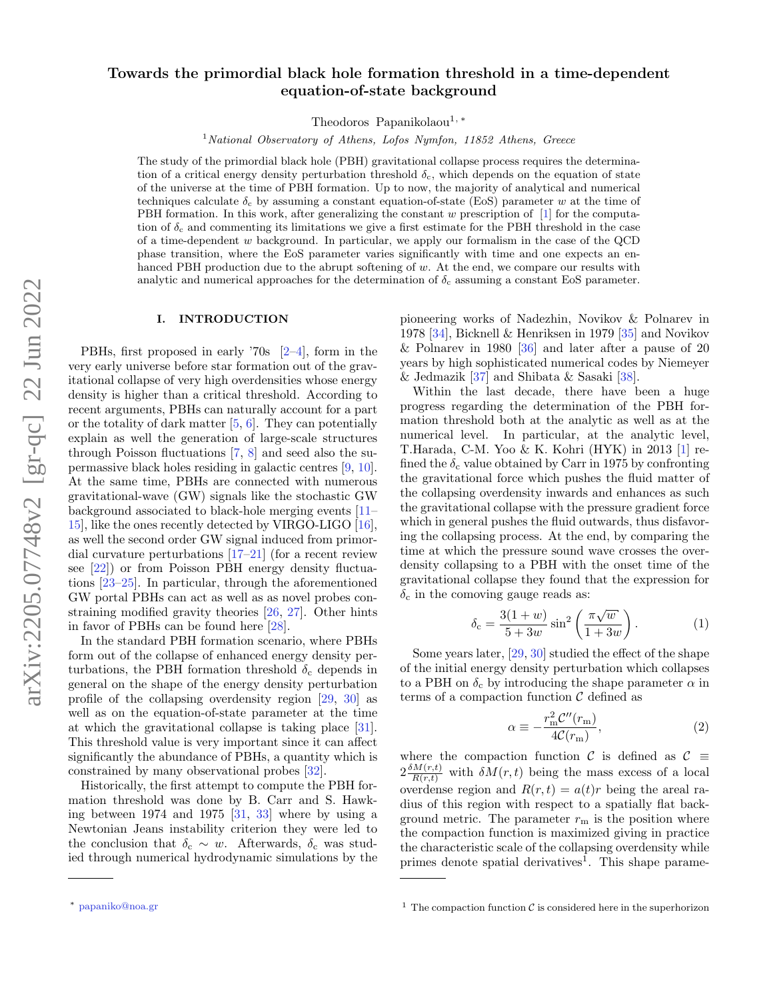# Towards the primordial black hole formation threshold in a time-dependent equation-of-state background

Theodoros Papanikolaou<sup>1,\*</sup>

 $1$ National Observatory of Athens, Lofos Nymfon, 11852 Athens, Greece

The study of the primordial black hole (PBH) gravitational collapse process requires the determination of a critical energy density perturbation threshold  $\delta_c$ , which depends on the equation of state of the universe at the time of PBH formation. Up to now, the majority of analytical and numerical techniques calculate  $\delta_c$  by assuming a constant equation-of-state (EoS) parameter w at the time of PBH formation. In this work, after generalizing the constant w prescription of [\[1\]](#page-7-0) for the computation of  $\delta_c$  and commenting its limitations we give a first estimate for the PBH threshold in the case of a time-dependent  $w$  background. In particular, we apply our formalism in the case of the QCD phase transition, where the EoS parameter varies significantly with time and one expects an enhanced PBH production due to the abrupt softening of w. At the end, we compare our results with analytic and numerical approaches for the determination of  $\delta_c$  assuming a constant EoS parameter.

#### <span id="page-0-2"></span>I. INTRODUCTION

PBHs, first proposed in early '70s [\[2–](#page-7-1)[4\]](#page-7-2), form in the very early universe before star formation out of the gravitational collapse of very high overdensities whose energy density is higher than a critical threshold. According to recent arguments, PBHs can naturally account for a part or the totality of dark matter [\[5,](#page-7-3) [6\]](#page-7-4). They can potentially explain as well the generation of large-scale structures through Poisson fluctuations [\[7,](#page-7-5) [8\]](#page-7-6) and seed also the supermassive black holes residing in galactic centres [\[9,](#page-7-7) [10\]](#page-7-8). At the same time, PBHs are connected with numerous gravitational-wave (GW) signals like the stochastic GW background associated to black-hole merging events [\[11–](#page-7-9) [15\]](#page-7-10), like the ones recently detected by VIRGO-LIGO [\[16\]](#page-7-11), as well the second order GW signal induced from primordial curvature perturbations [\[17–](#page-7-12)[21\]](#page-7-13) (for a recent review see [\[22\]](#page-7-14)) or from Poisson PBH energy density fluctuations [\[23](#page-7-15)[–25\]](#page-7-16). In particular, through the aforementioned GW portal PBHs can act as well as as novel probes constraining modified gravity theories [\[26,](#page-7-17) [27\]](#page-7-18). Other hints in favor of PBHs can be found here [\[28\]](#page-7-19).

In the standard PBH formation scenario, where PBHs form out of the collapse of enhanced energy density perturbations, the PBH formation threshold  $\delta_c$  depends in general on the shape of the energy density perturbation profile of the collapsing overdensity region [\[29,](#page-7-20) [30\]](#page-7-21) as well as on the equation-of-state parameter at the time at which the gravitational collapse is taking place [\[31\]](#page-7-22). This threshold value is very important since it can affect significantly the abundance of PBHs, a quantity which is constrained by many observational probes [\[32\]](#page-8-0).

Historically, the first attempt to compute the PBH formation threshold was done by B. Carr and S. Hawking between 1974 and 1975 [\[31,](#page-7-22) [33\]](#page-8-1) where by using a Newtonian Jeans instability criterion they were led to the conclusion that  $\delta_c \sim w$ . Afterwards,  $\delta_c$  was studied through numerical hydrodynamic simulations by the

pioneering works of Nadezhin, Novikov & Polnarev in 1978 [\[34\]](#page-8-2), Bicknell & Henriksen in 1979 [\[35\]](#page-8-3) and Novikov & Polnarev in 1980 [\[36\]](#page-8-4) and later after a pause of 20 years by high sophisticated numerical codes by Niemeyer & Jedmazik [\[37\]](#page-8-5) and Shibata & Sasaki [\[38\]](#page-8-6).

Within the last decade, there have been a huge progress regarding the determination of the PBH formation threshold both at the analytic as well as at the numerical level. In particular, at the analytic level, T.Harada, C-M. Yoo & K. Kohri (HYK) in 2013 [\[1\]](#page-7-0) refined the  $\delta_c$  value obtained by Carr in 1975 by confronting the gravitational force which pushes the fluid matter of the collapsing overdensity inwards and enhances as such the gravitational collapse with the pressure gradient force which in general pushes the fluid outwards, thus disfavoring the collapsing process. At the end, by comparing the time at which the pressure sound wave crosses the overdensity collapsing to a PBH with the onset time of the gravitational collapse they found that the expression for  $\delta_c$  in the comoving gauge reads as:

$$
\delta_{\rm c} = \frac{3(1+w)}{5+3w} \sin^2\left(\frac{\pi\sqrt{w}}{1+3w}\right). \tag{1}
$$

Some years later, [\[29,](#page-7-20) [30\]](#page-7-21) studied the effect of the shape of the initial energy density perturbation which collapses to a PBH on  $\delta_c$  by introducing the shape parameter  $\alpha$  in terms of a compaction function  $\mathcal C$  defined as

$$
\alpha \equiv -\frac{r_{\rm m}^2 \mathcal{C}''(r_{\rm m})}{4\mathcal{C}(r_{\rm m})},\tag{2}
$$

where the compaction function C is defined as  $C \equiv$  $2\frac{\delta M(r,t)}{R(r,t)}$  with  $\delta M(r,t)$  being the mass excess of a local overdense region and  $R(r, t) = a(t)r$  being the areal radius of this region with respect to a spatially flat background metric. The parameter  $r<sub>m</sub>$  is the position where the compaction function is maximized giving in practice the characteristic scale of the collapsing overdensity while primes denote spatial derivatives<sup>[1](#page-0-1)</sup>. This shape parame-

<span id="page-0-0"></span><sup>∗</sup> [papaniko@noa.gr](mailto:papaniko@noa.gr)

<span id="page-0-1"></span><sup>&</sup>lt;sup>1</sup> The compaction function  $\mathcal C$  is considered here in the superhorizon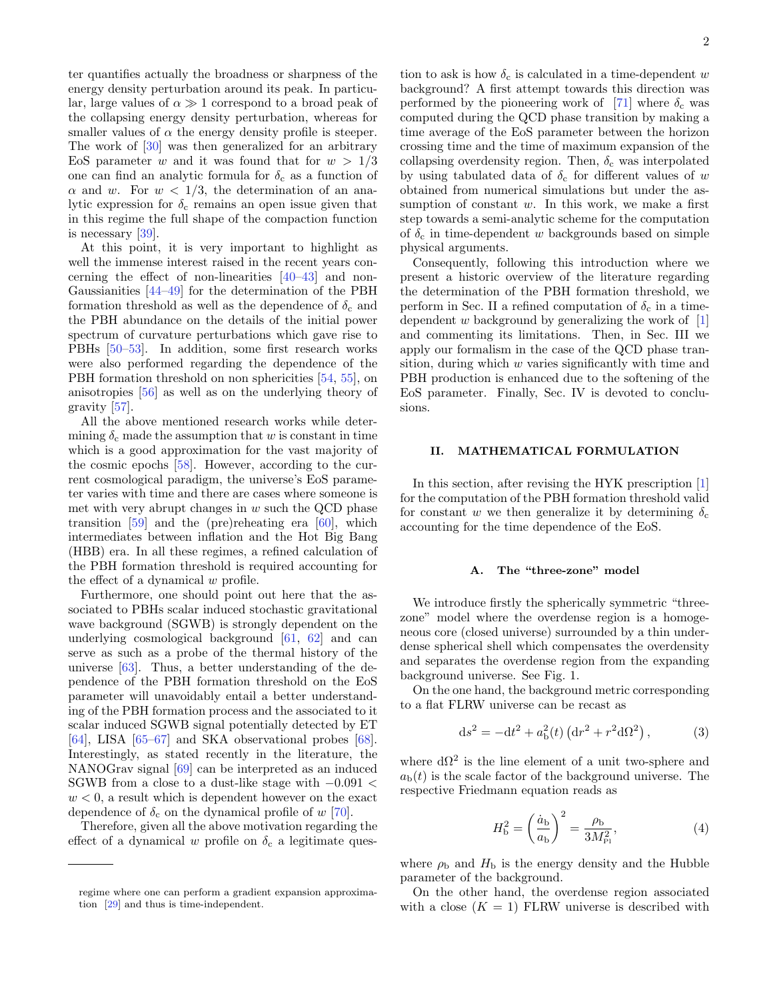ter quantifies actually the broadness or sharpness of the energy density perturbation around its peak. In particular, large values of  $\alpha \gg 1$  correspond to a broad peak of the collapsing energy density perturbation, whereas for smaller values of  $\alpha$  the energy density profile is steeper. The work of [\[30\]](#page-7-21) was then generalized for an arbitrary EoS parameter w and it was found that for  $w > 1/3$ one can find an analytic formula for  $\delta_c$  as a function of  $\alpha$  and w. For  $w < 1/3$ , the determination of an analytic expression for  $\delta_c$  remains an open issue given that in this regime the full shape of the compaction function is necessary [\[39\]](#page-8-7).

At this point, it is very important to highlight as well the immense interest raised in the recent years concerning the effect of non-linearities [\[40–](#page-8-8)[43\]](#page-8-9) and non-Gaussianities [\[44–](#page-8-10)[49\]](#page-8-11) for the determination of the PBH formation threshold as well as the dependence of  $\delta_c$  and the PBH abundance on the details of the initial power spectrum of curvature perturbations which gave rise to PBHs [\[50–](#page-8-12)[53\]](#page-8-13). In addition, some first research works were also performed regarding the dependence of the PBH formation threshold on non sphericities [\[54,](#page-8-14) [55\]](#page-8-15), on anisotropies [\[56\]](#page-8-16) as well as on the underlying theory of gravity [\[57\]](#page-8-17).

All the above mentioned research works while determining  $\delta_c$  made the assumption that w is constant in time which is a good approximation for the vast majority of the cosmic epochs [\[58\]](#page-8-18). However, according to the current cosmological paradigm, the universe's EoS parameter varies with time and there are cases where someone is met with very abrupt changes in  $w$  such the QCD phase transition [\[59\]](#page-8-19) and the (pre)reheating era [\[60\]](#page-8-20), which intermediates between inflation and the Hot Big Bang (HBB) era. In all these regimes, a refined calculation of the PBH formation threshold is required accounting for the effect of a dynamical  $w$  profile.

Furthermore, one should point out here that the associated to PBHs scalar induced stochastic gravitational wave background (SGWB) is strongly dependent on the underlying cosmological background [\[61,](#page-8-21) [62\]](#page-8-22) and can serve as such as a probe of the thermal history of the universe [\[63\]](#page-8-23). Thus, a better understanding of the dependence of the PBH formation threshold on the EoS parameter will unavoidably entail a better understanding of the PBH formation process and the associated to it scalar induced SGWB signal potentially detected by ET [\[64\]](#page-8-24), LISA [\[65](#page-8-25)[–67\]](#page-8-26) and SKA observational probes [\[68\]](#page-8-27). Interestingly, as stated recently in the literature, the NANOGrav signal [\[69\]](#page-8-28) can be interpreted as an induced SGWB from a close to a dust-like stage with  $-0.091 <$  $w < 0$ , a result which is dependent however on the exact dependence of  $\delta_c$  on the dynamical profile of w [\[70\]](#page-8-29).

Therefore, given all the above motivation regarding the effect of a dynamical w profile on  $\delta_c$  a legitimate ques-

tion to ask is how  $\delta_c$  is calculated in a time-dependent w background? A first attempt towards this direction was performed by the pioneering work of [\[71\]](#page-8-30) where  $\delta_c$  was computed during the QCD phase transition by making a time average of the EoS parameter between the horizon crossing time and the time of maximum expansion of the collapsing overdensity region. Then,  $\delta_c$  was interpolated by using tabulated data of  $\delta_c$  for different values of w obtained from numerical simulations but under the assumption of constant  $w$ . In this work, we make a first step towards a semi-analytic scheme for the computation of  $\delta_c$  in time-dependent w backgrounds based on simple physical arguments.

Consequently, following this introduction where we present a historic overview of the literature regarding the determination of the PBH formation threshold, we perform in Sec. [II](#page-1-0) a refined computation of  $\delta_c$  in a timedependent w background by generalizing the work of  $[1]$ and commenting its limitations. Then, in Sec. [III](#page-4-0) we apply our formalism in the case of the QCD phase transition, during which  $w$  varies significantly with time and PBH production is enhanced due to the softening of the EoS parameter. Finally, Sec. [IV](#page-6-0) is devoted to conclusions.

#### <span id="page-1-0"></span>II. MATHEMATICAL FORMULATION

In this section, after revising the HYK prescription [\[1\]](#page-7-0) for the computation of the PBH formation threshold valid for constant w we then generalize it by determining  $\delta_c$ accounting for the time dependence of the EoS.

#### A. The "three-zone" model

We introduce firstly the spherically symmetric "threezone" model where the overdense region is a homogeneous core (closed universe) surrounded by a thin underdense spherical shell which compensates the overdensity and separates the overdense region from the expanding background universe. See Fig. [1.](#page-2-0)

On the one hand, the background metric corresponding to a flat FLRW universe can be recast as

$$
ds^{2} = -dt^{2} + a_{b}^{2}(t) (dr^{2} + r^{2} d\Omega^{2}),
$$
 (3)

where  $d\Omega^2$  is the line element of a unit two-sphere and  $a<sub>b</sub>(t)$  is the scale factor of the background universe. The respective Friedmann equation reads as

<span id="page-1-1"></span>
$$
H_{\rm b}^2 = \left(\frac{\dot{a}_{\rm b}}{a_{\rm b}}\right)^2 = \frac{\rho_{\rm b}}{3M_{\rm Pl}^2},\tag{4}
$$

where  $\rho_{\rm b}$  and  $H_{\rm b}$  is the energy density and the Hubble parameter of the background.

On the other hand, the overdense region associated with a close  $(K = 1)$  FLRW universe is described with

regime where one can perform a gradient expansion approximation [\[29\]](#page-7-20) and thus is time-independent.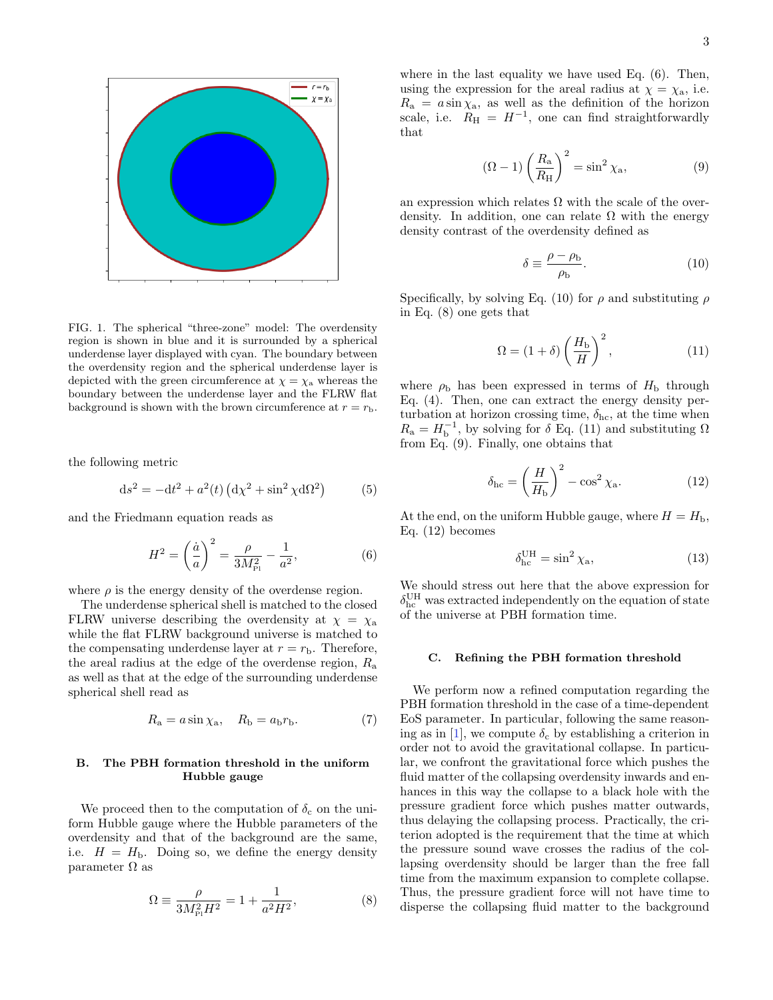

<span id="page-2-0"></span>FIG. 1. The spherical "three-zone" model: The overdensity region is shown in blue and it is surrounded by a spherical underdense layer displayed with cyan. The boundary between the overdensity region and the spherical underdense layer is depicted with the green circumference at  $\chi = \chi_a$  whereas the boundary between the underdense layer and the FLRW flat background is shown with the brown circumference at  $r = r_{\rm b}$ .

the following metric

<span id="page-2-8"></span>
$$
ds^{2} = -dt^{2} + a^{2}(t) (d\chi^{2} + \sin^{2}\chi d\Omega^{2})
$$
 (5)

and the Friedmann equation reads as

<span id="page-2-1"></span>
$$
H^{2} = \left(\frac{\dot{a}}{a}\right)^{2} = \frac{\rho}{3M_{\rm Pl}^{2}} - \frac{1}{a^{2}},\tag{6}
$$

where  $\rho$  is the energy density of the overdense region.

The underdense spherical shell is matched to the closed FLRW universe describing the overdensity at  $\chi = \chi_a$ while the flat FLRW background universe is matched to the compensating underdense layer at  $r = r<sub>b</sub>$ . Therefore, the areal radius at the edge of the overdense region,  $R_{\rm a}$ as well as that at the edge of the surrounding underdense spherical shell read as

$$
R_{\rm a} = a \sin \chi_{\rm a}, \quad R_{\rm b} = a_{\rm b} r_{\rm b}.\tag{7}
$$

# B. The PBH formation threshold in the uniform Hubble gauge

We proceed then to the computation of  $\delta_c$  on the uniform Hubble gauge where the Hubble parameters of the overdensity and that of the background are the same, i.e.  $H = H<sub>b</sub>$ . Doing so, we define the energy density parameter  $\Omega$  as

<span id="page-2-3"></span>
$$
\Omega \equiv \frac{\rho}{3M_{\rm Pl}^2 H^2} = 1 + \frac{1}{a^2 H^2},\tag{8}
$$

where in the last equality we have used Eq. [\(6\)](#page-2-1). Then, using the expression for the areal radius at  $\chi = \chi_a$ , i.e.  $R_a = a \sin \chi_a$ , as well as the definition of the horizon scale, i.e.  $R_{\rm H} = H^{-1}$ , one can find straightforwardly that

<span id="page-2-5"></span>
$$
(\Omega - 1) \left(\frac{R_a}{R_H}\right)^2 = \sin^2 \chi_a,\tag{9}
$$

an expression which relates  $\Omega$  with the scale of the overdensity. In addition, one can relate  $\Omega$  with the energy density contrast of the overdensity defined as

<span id="page-2-2"></span>
$$
\delta \equiv \frac{\rho - \rho_b}{\rho_b}.\tag{10}
$$

Specifically, by solving Eq. [\(10\)](#page-2-2) for  $\rho$  and substituting  $\rho$ in Eq. [\(8\)](#page-2-3) one gets that

<span id="page-2-4"></span>
$$
\Omega = (1 + \delta) \left(\frac{H_{\rm b}}{H}\right)^2,\tag{11}
$$

where  $\rho_{\rm b}$  has been expressed in terms of  $H_{\rm b}$  through Eq. [\(4\)](#page-1-1). Then, one can extract the energy density perturbation at horizon crossing time,  $\delta_{hc}$ , at the time when  $R_{\rm a} = H_{\rm b}^{-1}$ , by solving for  $\delta$  Eq. [\(11\)](#page-2-4) and substituting  $\Omega$ from Eq. [\(9\)](#page-2-5). Finally, one obtains that

<span id="page-2-6"></span>
$$
\delta_{\rm hc} = \left(\frac{H}{H_{\rm b}}\right)^2 - \cos^2 \chi_{\rm a}.\tag{12}
$$

At the end, on the uniform Hubble gauge, where  $H = H_{\rm b}$ , Eq. [\(12\)](#page-2-6) becomes

<span id="page-2-7"></span>
$$
\delta_{\rm hc}^{\rm UH} = \sin^2 \chi_{\rm a},\tag{13}
$$

We should stress out here that the above expression for  $\delta_{\rm hc}^{\rm UH}$  was extracted independently on the equation of state of the universe at PBH formation time.

#### <span id="page-2-9"></span>C. Refining the PBH formation threshold

We perform now a refined computation regarding the PBH formation threshold in the case of a time-dependent EoS parameter. In particular, following the same reason-ing as in [\[1\]](#page-7-0), we compute  $\delta_c$  by establishing a criterion in order not to avoid the gravitational collapse. In particular, we confront the gravitational force which pushes the fluid matter of the collapsing overdensity inwards and enhances in this way the collapse to a black hole with the pressure gradient force which pushes matter outwards, thus delaying the collapsing process. Practically, the criterion adopted is the requirement that the time at which the pressure sound wave crosses the radius of the collapsing overdensity should be larger than the free fall time from the maximum expansion to complete collapse. Thus, the pressure gradient force will not have time to disperse the collapsing fluid matter to the background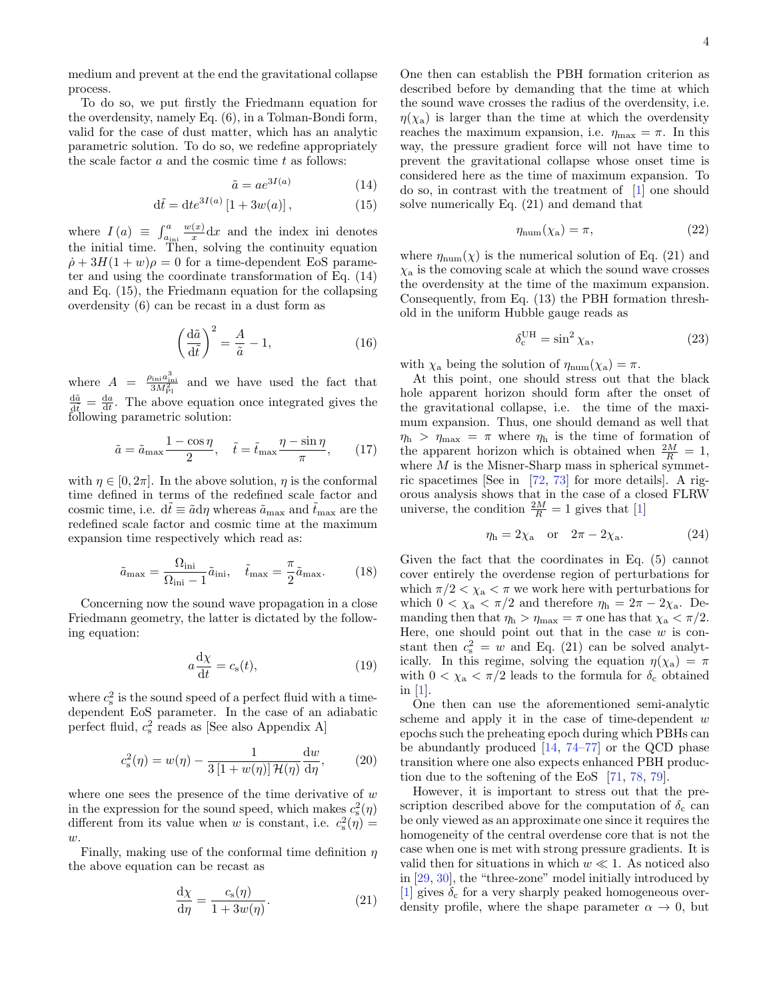medium and prevent at the end the gravitational collapse process.

To do so, we put firstly the Friedmann equation for the overdensity, namely Eq. [\(6\)](#page-2-1), in a Tolman-Bondi form, valid for the case of dust matter, which has an analytic parametric solution. To do so, we redefine appropriately the scale factor  $a$  and the cosmic time  $t$  as follows:

<span id="page-3-0"></span>
$$
\tilde{a} = a e^{3I(a)} \tag{14}
$$

$$
\mathrm{d}\tilde{t} = \mathrm{d}t e^{3I(a)} \left[1 + 3w(a)\right],\tag{15}
$$

where  $I(a) \equiv \int_{a_{\text{ini}}}^{a}$  $w(x)$  $\frac{d(x)}{dx}$  dx and the index ini denotes the initial time. Then, solving the continuity equation  $\dot{\rho} + 3H(1+w)\rho = 0$  for a time-dependent EoS parameter and using the coordinate transformation of Eq. [\(14\)](#page-3-0) and Eq. [\(15\)](#page-3-0), the Friedmann equation for the collapsing overdensity [\(6\)](#page-2-1) can be recast in a dust form as

$$
\left(\frac{\mathrm{d}\tilde{a}}{\mathrm{d}\tilde{t}}\right)^2 = \frac{A}{\tilde{a}} - 1,\tag{16}
$$

where  $A = \frac{\rho_{\text{ini}} a_{\text{ini}}^3}{3M_{\text{Pl}}^2}$  and we have used the fact that  $\frac{d\tilde{a}}{dt} = \frac{da}{dt}$ . The above equation once integrated gives the following parametric solution:

<span id="page-3-2"></span>
$$
\tilde{a} = \tilde{a}_{\text{max}} \frac{1 - \cos \eta}{2}, \quad \tilde{t} = \tilde{t}_{\text{max}} \frac{\eta - \sin \eta}{\pi}, \qquad (17)
$$

with  $\eta \in [0, 2\pi]$ . In the above solution,  $\eta$  is the conformal time defined in terms of the redefined scale factor and cosmic time, i.e.  $d\tilde{t} \equiv \tilde{a} d\eta$  whereas  $\tilde{a}_{\text{max}}$  and  $\tilde{t}_{\text{max}}$  are the redefined scale factor and cosmic time at the maximum expansion time respectively which read as:

$$
\tilde{a}_{\text{max}} = \frac{\Omega_{\text{ini}}}{\Omega_{\text{ini}} - 1} \tilde{a}_{\text{ini}}, \quad \tilde{t}_{\text{max}} = \frac{\pi}{2} \tilde{a}_{\text{max}}.
$$
 (18)

Concerning now the sound wave propagation in a close Friedmann geometry, the latter is dictated by the following equation:

$$
a\frac{\mathrm{d}\chi}{\mathrm{d}t} = c_{\rm s}(t),\tag{19}
$$

where  $c_s^2$  is the sound speed of a perfect fluid with a timedependent EoS parameter. In the case of an adiabatic perfect fluid,  $c_s^2$  reads as [See also Appendix [A\]](#page-7-23)

<span id="page-3-3"></span>
$$
c_s^2(\eta) = w(\eta) - \frac{1}{3\left[1 + w(\eta)\right]\mathcal{H}(\eta)}\frac{\mathrm{d}w}{\mathrm{d}\eta},\qquad(20)
$$

where one sees the presence of the time derivative of  $w$ in the expression for the sound speed, which makes  $c_s^2(\eta)$ different from its value when w is constant, i.e.  $c_s^2(\eta) =$  $w$ .

Finally, making use of the conformal time definition  $\eta$ the above equation can be recast as

<span id="page-3-1"></span>
$$
\frac{\mathrm{d}\chi}{\mathrm{d}\eta} = \frac{c_{\rm s}(\eta)}{1 + 3w(\eta)}.\tag{21}
$$

One then can establish the PBH formation criterion as described before by demanding that the time at which the sound wave crosses the radius of the overdensity, i.e.  $\eta(\chi_a)$  is larger than the time at which the overdensity reaches the maximum expansion, i.e.  $\eta_{\text{max}} = \pi$ . In this way, the pressure gradient force will not have time to prevent the gravitational collapse whose onset time is considered here as the time of maximum expansion. To do so, in contrast with the treatment of [\[1\]](#page-7-0) one should solve numerically Eq. [\(21\)](#page-3-1) and demand that

$$
\eta_{\text{num}}(\chi_a) = \pi,\tag{22}
$$

where  $\eta_{\text{num}}(\chi)$  is the numerical solution of Eq. [\(21\)](#page-3-1) and  $\chi$ <sub>a</sub> is the comoving scale at which the sound wave crosses the overdensity at the time of the maximum expansion. Consequently, from Eq. [\(13\)](#page-2-7) the PBH formation threshold in the uniform Hubble gauge reads as

$$
\delta_c^{\text{UH}} = \sin^2 \chi_a,\tag{23}
$$

with  $\chi_a$  being the solution of  $\eta_{num}(\chi_a) = \pi$ .

At this point, one should stress out that the black hole apparent horizon should form after the onset of the gravitational collapse, i.e. the time of the maximum expansion. Thus, one should demand as well that  $\eta_h$  >  $\eta_{\text{max}} = \pi$  where  $\eta_h$  is the time of formation of the apparent horizon which is obtained when  $\frac{2M}{R} = 1$ , where  $M$  is the Misner-Sharp mass in spherical symmetric spacetimes [See in [\[72,](#page-8-31) [73\]](#page-8-32) for more details]. A rigorous analysis shows that in the case of a closed FLRW universe, the condition  $\frac{2M}{R} = 1$  gives that [\[1\]](#page-7-0)

$$
\eta_{\rm h} = 2\chi_{\rm a} \quad \text{or} \quad 2\pi - 2\chi_{\rm a}.\tag{24}
$$

Given the fact that the coordinates in Eq. [\(5\)](#page-2-8) cannot cover entirely the overdense region of perturbations for which  $\pi/2 < \chi_a < \pi$  we work here with perturbations for which  $0 < \chi_a < \pi/2$  and therefore  $\eta_h = 2\pi - 2\chi_a$ . Demanding then that  $\eta_h > \eta_{\text{max}} = \pi$  one has that  $\chi_a < \pi/2$ . Here, one should point out that in the case  $w$  is constant then  $c_s^2 = w$  and Eq. [\(21\)](#page-3-1) can be solved analytically. In this regime, solving the equation  $\eta(\chi_a) = \pi$ with  $0 < \chi_a < \pi/2$  leads to the formula for  $\delta_c$  obtained in [\[1\]](#page-7-0).

One then can use the aforementioned semi-analytic scheme and apply it in the case of time-dependent  $w$ epochs such the preheating epoch during which PBHs can be abundantly produced [\[14,](#page-7-24) [74](#page-8-33)[–77\]](#page-8-34) or the QCD phase transition where one also expects enhanced PBH production due to the softening of the EoS [\[71,](#page-8-30) [78,](#page-8-35) [79\]](#page-8-36).

However, it is important to stress out that the prescription described above for the computation of  $\delta_c$  can be only viewed as an approximate one since it requires the homogeneity of the central overdense core that is not the case when one is met with strong pressure gradients. It is valid then for situations in which  $w \ll 1$ . As noticed also in [\[29,](#page-7-20) [30\]](#page-7-21), the "three-zone" model initially introduced by [\[1\]](#page-7-0) gives  $\delta_c$  for a very sharply peaked homogeneous overdensity profile, where the shape parameter  $\alpha \to 0$ , but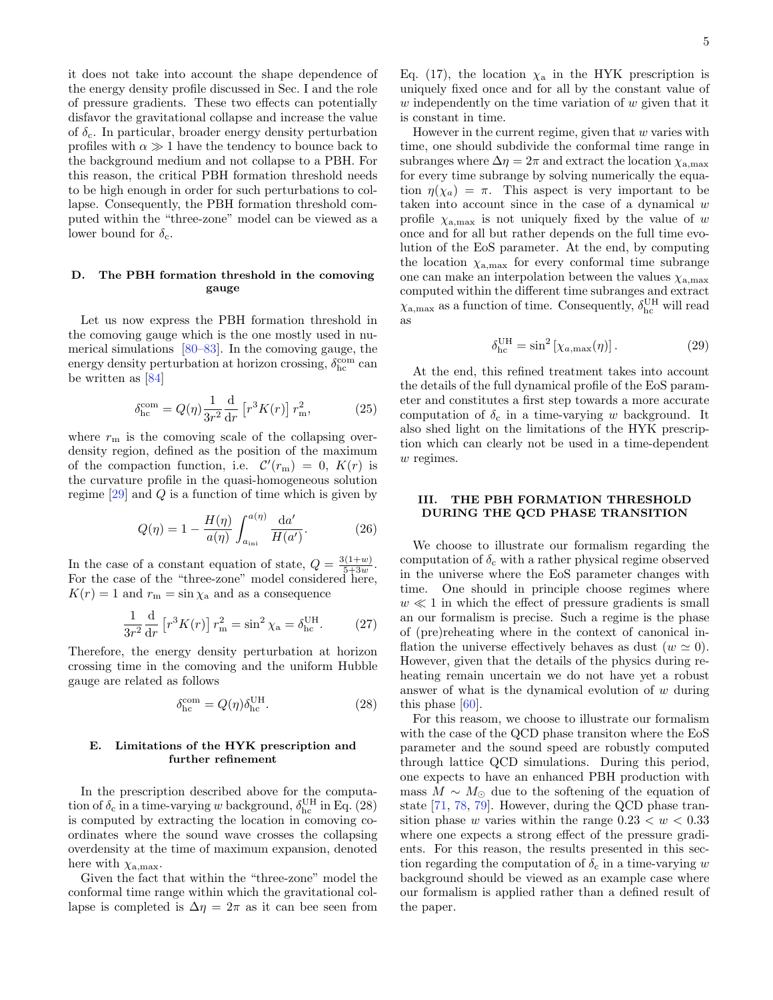it does not take into account the shape dependence of the energy density profile discussed in Sec. [I](#page-0-2) and the role of pressure gradients. These two effects can potentially disfavor the gravitational collapse and increase the value of  $\delta_{\rm c}$ . In particular, broader energy density perturbation profiles with  $\alpha \gg 1$  have the tendency to bounce back to the background medium and not collapse to a PBH. For this reason, the critical PBH formation threshold needs to be high enough in order for such perturbations to collapse. Consequently, the PBH formation threshold computed within the "three-zone" model can be viewed as a lower bound for  $\delta_{c}$ .

## D. The PBH formation threshold in the comoving gauge

Let us now express the PBH formation threshold in the comoving gauge which is the one mostly used in numerical simulations [\[80–](#page-8-37)[83\]](#page-8-38). In the comoving gauge, the energy density perturbation at horizon crossing,  $\delta_\mathrm{hc}^\mathrm{com}$  can be written as [\[84\]](#page-8-39)

$$
\delta_{\text{hc}}^{\text{com}} = Q(\eta) \frac{1}{3r^2} \frac{d}{dr} \left[ r^3 K(r) \right] r_{\text{m}}^2,\tag{25}
$$

where  $r<sub>m</sub>$  is the comoving scale of the collapsing overdensity region, defined as the position of the maximum of the compaction function, i.e.  $\mathcal{C}'(r_m) = 0$ ,  $K(r)$  is the curvature profile in the quasi-homogeneous solution regime  $[29]$  and Q is a function of time which is given by

$$
Q(\eta) = 1 - \frac{H(\eta)}{a(\eta)} \int_{a_{\rm ini}}^{a(\eta)} \frac{\mathrm{d}a'}{H(a')}.
$$
 (26)

In the case of a constant equation of state,  $Q = \frac{3(1+w)}{5+3w}$  $\frac{5+3w}{5+3w}$ . For the case of the "three-zone" model considered here,  $K(r) = 1$  and  $r<sub>m</sub> = \sin \chi_a$  and as a consequence

$$
\frac{1}{3r^2}\frac{\mathrm{d}}{\mathrm{d}r}\left[r^3K(r)\right]r_{\mathrm{m}}^2 = \sin^2\chi_{\mathrm{a}} = \delta_{\mathrm{hc}}^{\mathrm{UH}}.\tag{27}
$$

Therefore, the energy density perturbation at horizon crossing time in the comoving and the uniform Hubble gauge are related as follows

<span id="page-4-1"></span>
$$
\delta_{\text{hc}}^{\text{com}} = Q(\eta)\delta_{\text{hc}}^{\text{UH}}.\tag{28}
$$

#### <span id="page-4-2"></span>E. Limitations of the HYK prescription and further refinement

In the prescription described above for the computation of  $\delta_c$  in a time-varying w background,  $\delta_{hc}^{UH}$  in Eq. [\(28\)](#page-4-1) is computed by extracting the location in comoving coordinates where the sound wave crosses the collapsing overdensity at the time of maximum expansion, denoted here with  $\chi_{a,\text{max}}$ .

Given the fact that within the "three-zone" model the conformal time range within which the gravitational collapse is completed is  $\Delta \eta = 2\pi$  as it can bee seen from

Eq. [\(17\)](#page-3-2), the location  $\chi_a$  in the HYK prescription is uniquely fixed once and for all by the constant value of  $w$  independently on the time variation of  $w$  given that it is constant in time.

However in the current regime, given that  $w$  varies with time, one should subdivide the conformal time range in subranges where  $\Delta \eta = 2\pi$  and extract the location  $\chi_{\text{a,max}}$ for every time subrange by solving numerically the equation  $\eta(\chi_a) = \pi$ . This aspect is very important to be taken into account since in the case of a dynamical  $w$ profile  $\chi_{\text{a,max}}$  is not uniquely fixed by the value of w once and for all but rather depends on the full time evolution of the EoS parameter. At the end, by computing the location  $\chi_{a,\text{max}}$  for every conformal time subrange one can make an interpolation between the values  $\chi_{a,\text{max}}$ computed within the different time subranges and extract  $\chi_{\rm a, max}$  as a function of time. Consequently,  $\delta_{\rm hc}^{\rm UH}$  will read as

<span id="page-4-3"></span>
$$
\delta_{\text{hc}}^{\text{UH}} = \sin^2 \left[ \chi_{a,\text{max}}(\eta) \right]. \tag{29}
$$

At the end, this refined treatment takes into account the details of the full dynamical profile of the EoS parameter and constitutes a first step towards a more accurate computation of  $\delta_c$  in a time-varying w background. It also shed light on the limitations of the HYK prescription which can clearly not be used in a time-dependent w regimes.

## <span id="page-4-0"></span>III. THE PBH FORMATION THRESHOLD DURING THE QCD PHASE TRANSITION

We choose to illustrate our formalism regarding the computation of  $\delta_c$  with a rather physical regime observed in the universe where the EoS parameter changes with time. One should in principle choose regimes where  $w \ll 1$  in which the effect of pressure gradients is small an our formalism is precise. Such a regime is the phase of (pre)reheating where in the context of canonical inflation the universe effectively behaves as dust  $(w \simeq 0)$ . However, given that the details of the physics during reheating remain uncertain we do not have yet a robust answer of what is the dynamical evolution of  $w$  during this phase [\[60\]](#page-8-20).

For this reasom, we choose to illustrate our formalism with the case of the QCD phase transiton where the EoS parameter and the sound speed are robustly computed through lattice QCD simulations. During this period, one expects to have an enhanced PBH production with mass  $M \sim M_{\odot}$  due to the softening of the equation of state [\[71,](#page-8-30) [78,](#page-8-35) [79\]](#page-8-36). However, during the QCD phase transition phase w varies within the range  $0.23 < w < 0.33$ where one expects a strong effect of the pressure gradients. For this reason, the results presented in this section regarding the computation of  $\delta_c$  in a time-varying w background should be viewed as an example case where our formalism is applied rather than a defined result of the paper.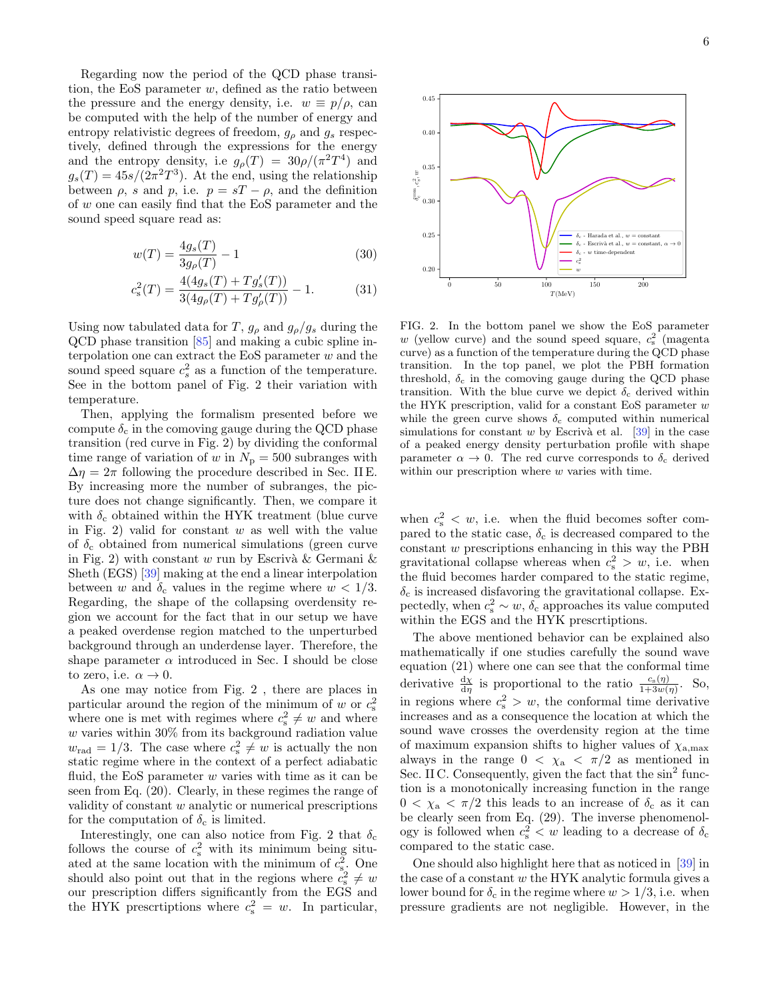Regarding now the period of the QCD phase transition, the EoS parameter  $w$ , defined as the ratio between the pressure and the energy density, i.e.  $w \equiv p/\rho$ , can be computed with the help of the number of energy and entropy relativistic degrees of freedom,  $g_{\rho}$  and  $g_{s}$  respectively, defined through the expressions for the energy and the entropy density, i.e  $g_{\rho}(T) = 30\rho/(\pi^2 T^4)$  and  $g_s(T) = 45s/(2\pi^2 T^3)$ . At the end, using the relationship between  $\rho$ , s and p, i.e.  $p = sT - \rho$ , and the definition of w one can easily find that the EoS parameter and the sound speed square read as:

$$
w(T) = \frac{4g_s(T)}{3g_\rho(T)} - 1\tag{30}
$$

$$
c_s^2(T) = \frac{4(4g_s(T) + Tg'_s(T))}{3(4g_\rho(T) + Tg'_\rho(T))} - 1.
$$
 (31)

Using now tabulated data for T,  $g_\rho$  and  $g_\rho/g_s$  during the QCD phase transition [\[85\]](#page-8-40) and making a cubic spline interpolation one can extract the EoS parameter  $w$  and the sound speed square  $c_s^2$  as a function of the temperature. See in the bottom panel of Fig. [2](#page-5-0) their variation with temperature.

Then, applying the formalism presented before we compute  $\delta_c$  in the comoving gauge during the QCD phase transition (red curve in Fig. [2\)](#page-5-0) by dividing the conformal time range of variation of w in  $N_{\rm p} = 500$  subranges with  $\Delta \eta = 2\pi$  following the procedure described in Sec. [II E.](#page-4-2) By increasing more the number of subranges, the picture does not change significantly. Then, we compare it with  $\delta_c$  obtained within the HYK treatment (blue curve in Fig. [2\)](#page-5-0) valid for constant  $w$  as well with the value of  $\delta_c$  obtained from numerical simulations (green curve in Fig. [2\)](#page-5-0) with constant w run by Escriva & Germani  $\&$ Sheth (EGS) [\[39\]](#page-8-7) making at the end a linear interpolation between w and  $\delta_c$  values in the regime where  $w < 1/3$ . Regarding, the shape of the collapsing overdensity region we account for the fact that in our setup we have a peaked overdense region matched to the unperturbed background through an underdense layer. Therefore, the shape parameter  $\alpha$  introduced in Sec. [I](#page-0-2) should be close to zero, i.e.  $\alpha \to 0$ .

As one may notice from Fig. [2](#page-5-0) , there are places in particular around the region of the minimum of w or  $c_s^2$ where one is met with regimes where  $c_s^2 \neq w$  and where  $w$  varies within  $30\%$  from its background radiation value  $w_{\text{rad}} = 1/3$ . The case where  $c_{\text{s}}^2 \neq w$  is actually the non static regime where in the context of a perfect adiabatic fluid, the EoS parameter  $w$  varies with time as it can be seen from Eq. [\(20\)](#page-3-3). Clearly, in these regimes the range of validity of constant  $w$  analytic or numerical prescriptions for the computation of  $\delta_c$  is limited.

Interestingly, one can also notice from Fig. [2](#page-5-0) that  $\delta_c$ follows the course of  $c_s^2$  with its minimum being situated at the same location with the minimum of  $c_{s}^2$ . One should also point out that in the regions where  $c_s^2 \neq w$ our prescription differs significantly from the EGS and the HYK prescriptions where  $c_s^2 = w$ . In particular,



 $c_{\rm s}^2$ w

 $\delta_c$  - w time-dependent

FIG. 2. In the bottom panel we show the EoS parameter w (yellow curve) and the sound speed square,  $c_s^2$  (magenta curve) as a function of the temperature during the QCD phase transition. In the top panel, we plot the PBH formation threshold,  $\delta_c$  in the comoving gauge during the QCD phase transition. With the blue curve we depict  $\delta_c$  derived within the HYK prescription, valid for a constant EoS parameter  $w$ while the green curve shows  $\delta_c$  computed within numerical simulations for constant w by Escriva et al.  $[39]$  in the case of a peaked energy density perturbation profile with shape parameter  $\alpha \to 0$ . The red curve corresponds to  $\delta_c$  derived within our prescription where  $w$  varies with time.

<span id="page-5-0"></span>0 50 100 150 200  $T(MeV)$ 

0.20

0.25

0.30

δcom c , c  $\frac{2}{3}$ s v

0.35

0.40

0.45

when  $c_s^2 < w$ , i.e. when the fluid becomes softer compared to the static case,  $\delta_c$  is decreased compared to the constant  $w$  prescriptions enhancing in this way the PBH gravitational collapse whereas when  $c_s^2 > w$ , i.e. when the fluid becomes harder compared to the static regime,  $\delta_c$  is increased disfavoring the gravitational collapse. Expectedly, when  $c_s^2 \sim w$ ,  $\delta_c$  approaches its value computed within the EGS and the HYK prescrtiptions.

The above mentioned behavior can be explained also mathematically if one studies carefully the sound wave equation [\(21\)](#page-3-1) where one can see that the conformal time derivative  $\frac{d\chi}{d\eta}$  is proportional to the ratio  $\frac{c_s(\eta)}{1+3w(\eta)}$ . So, in regions where  $c_s^2 > w$ , the conformal time derivative increases and as a consequence the location at which the sound wave crosses the overdensity region at the time of maximum expansion shifts to higher values of  $\chi_{a,\text{max}}$ always in the range  $0 < \chi_a < \pi/2$  as mentioned in Sec. [II C.](#page-2-9) Consequently, given the fact that the sin<sup>2</sup> function is a monotonically increasing function in the range  $0 < \chi_a < \pi/2$  this leads to an increase of  $\delta_c$  as it can be clearly seen from Eq. [\(29\)](#page-4-3). The inverse phenomenology is followed when  $c_s^2 < w$  leading to a decrease of  $\delta_c$ compared to the static case.

One should also highlight here that as noticed in [\[39\]](#page-8-7) in the case of a constant w the HYK analytic formula gives a lower bound for  $\delta_c$  in the regime where  $w > 1/3$ , i.e. when pressure gradients are not negligible. However, in the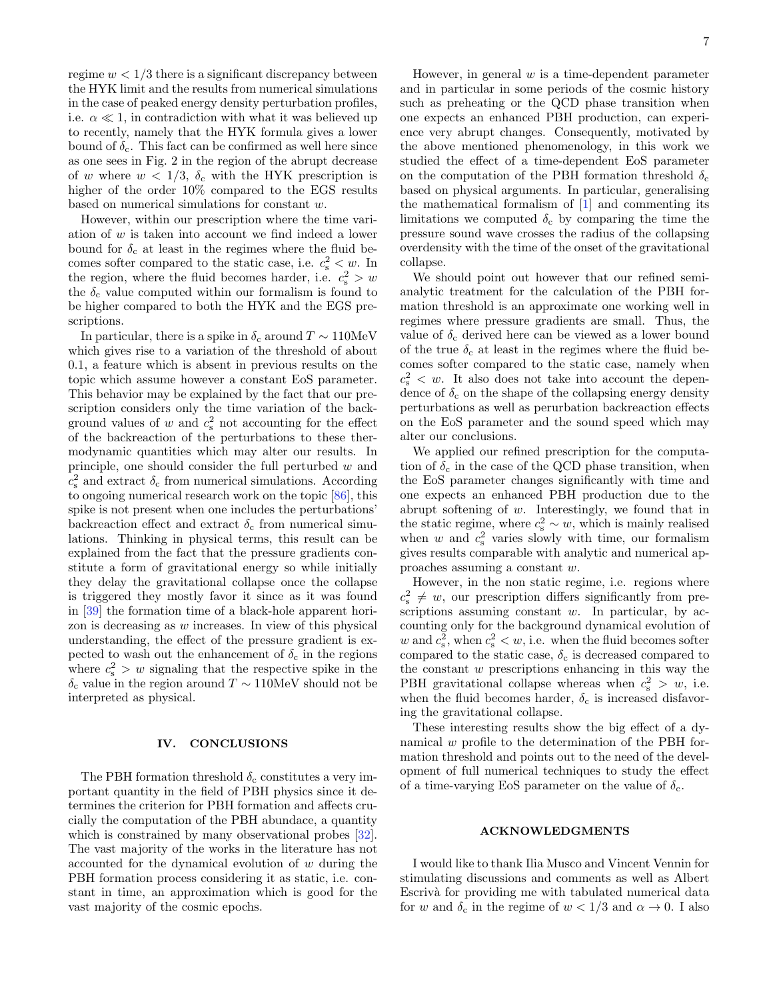regime  $w < 1/3$  there is a significant discrepancy between the HYK limit and the results from numerical simulations in the case of peaked energy density perturbation profiles, i.e.  $\alpha \ll 1$ , in contradiction with what it was believed up to recently, namely that the HYK formula gives a lower bound of  $\delta_c$ . This fact can be confirmed as well here since as one sees in Fig. [2](#page-5-0) in the region of the abrupt decrease of w where  $w < 1/3$ ,  $\delta_c$  with the HYK prescription is higher of the order 10% compared to the EGS results based on numerical simulations for constant w.

However, within our prescription where the time variation of  $w$  is taken into account we find indeed a lower bound for  $\delta_c$  at least in the regimes where the fluid becomes softer compared to the static case, i.e.  $c_s^2 < w$ . In the region, where the fluid becomes harder, i.e.  $c_s^2 > w$ the  $\delta_c$  value computed within our formalism is found to be higher compared to both the HYK and the EGS prescriptions.

In particular, there is a spike in  $\delta_c$  around  $T \sim 110$ MeV which gives rise to a variation of the threshold of about 0.1, a feature which is absent in previous results on the topic which assume however a constant EoS parameter. This behavior may be explained by the fact that our prescription considers only the time variation of the background values of  $w$  and  $c_s^2$  not accounting for the effect of the backreaction of the perturbations to these thermodynamic quantities which may alter our results. In principle, one should consider the full perturbed w and  $c_{\rm s}^2$  and extract  $\delta_{\rm c}$  from numerical simulations. According to ongoing numerical research work on the topic [\[86\]](#page-8-41), this spike is not present when one includes the perturbations' backreaction effect and extract  $\delta_c$  from numerical simulations. Thinking in physical terms, this result can be explained from the fact that the pressure gradients constitute a form of gravitational energy so while initially they delay the gravitational collapse once the collapse is triggered they mostly favor it since as it was found in [\[39\]](#page-8-7) the formation time of a black-hole apparent horizon is decreasing as w increases. In view of this physical understanding, the effect of the pressure gradient is expected to wash out the enhancement of  $\delta_c$  in the regions where  $c_s^2 > w$  signaling that the respective spike in the δ<sup>c</sup> value in the region around T ∼ 110MeV should not be interpreted as physical.

# <span id="page-6-0"></span>IV. CONCLUSIONS

The PBH formation threshold  $\delta_c$  constitutes a very important quantity in the field of PBH physics since it determines the criterion for PBH formation and affects crucially the computation of the PBH abundace, a quantity which is constrained by many observational probes [\[32\]](#page-8-0). The vast majority of the works in the literature has not accounted for the dynamical evolution of w during the PBH formation process considering it as static, i.e. constant in time, an approximation which is good for the vast majority of the cosmic epochs.

However, in general  $w$  is a time-dependent parameter and in particular in some periods of the cosmic history such as preheating or the QCD phase transition when one expects an enhanced PBH production, can experience very abrupt changes. Consequently, motivated by the above mentioned phenomenology, in this work we studied the effect of a time-dependent EoS parameter on the computation of the PBH formation threshold  $\delta_c$ based on physical arguments. In particular, generalising the mathematical formalism of [\[1\]](#page-7-0) and commenting its limitations we computed  $\delta_c$  by comparing the time the pressure sound wave crosses the radius of the collapsing overdensity with the time of the onset of the gravitational collapse.

We should point out however that our refined semianalytic treatment for the calculation of the PBH formation threshold is an approximate one working well in regimes where pressure gradients are small. Thus, the value of  $\delta_c$  derived here can be viewed as a lower bound of the true  $\delta_c$  at least in the regimes where the fluid becomes softer compared to the static case, namely when  $c_s^2 < w$ . It also does not take into account the dependence of  $\delta_c$  on the shape of the collapsing energy density perturbations as well as perurbation backreaction effects on the EoS parameter and the sound speed which may alter our conclusions.

We applied our refined prescription for the computation of  $\delta_c$  in the case of the QCD phase transition, when the EoS parameter changes significantly with time and one expects an enhanced PBH production due to the abrupt softening of w. Interestingly, we found that in the static regime, where  $c_s^2 \sim w$ , which is mainly realised when  $w$  and  $c_s^2$  varies slowly with time, our formalism gives results comparable with analytic and numerical approaches assuming a constant w.

However, in the non static regime, i.e. regions where  $c_s^2 \neq w$ , our prescription differs significantly from prescriptions assuming constant  $w$ . In particular, by accounting only for the background dynamical evolution of w and  $c_s^2$ , when  $c_s^2 < w$ , i.e. when the fluid becomes softer compared to the static case,  $\delta_c$  is decreased compared to the constant  $w$  prescriptions enhancing in this way the PBH gravitational collapse whereas when  $c_s^2 > w$ , i.e. when the fluid becomes harder,  $\delta_c$  is increased disfavoring the gravitational collapse.

These interesting results show the big effect of a dynamical w profile to the determination of the PBH formation threshold and points out to the need of the development of full numerical techniques to study the effect of a time-varying EoS parameter on the value of  $\delta_{\rm c}$ .

#### ACKNOWLEDGMENTS

I would like to thank Ilia Musco and Vincent Vennin for stimulating discussions and comments as well as Albert Escrivà for providing me with tabulated numerical data for w and  $\delta_c$  in the regime of  $w < 1/3$  and  $\alpha \to 0$ . I also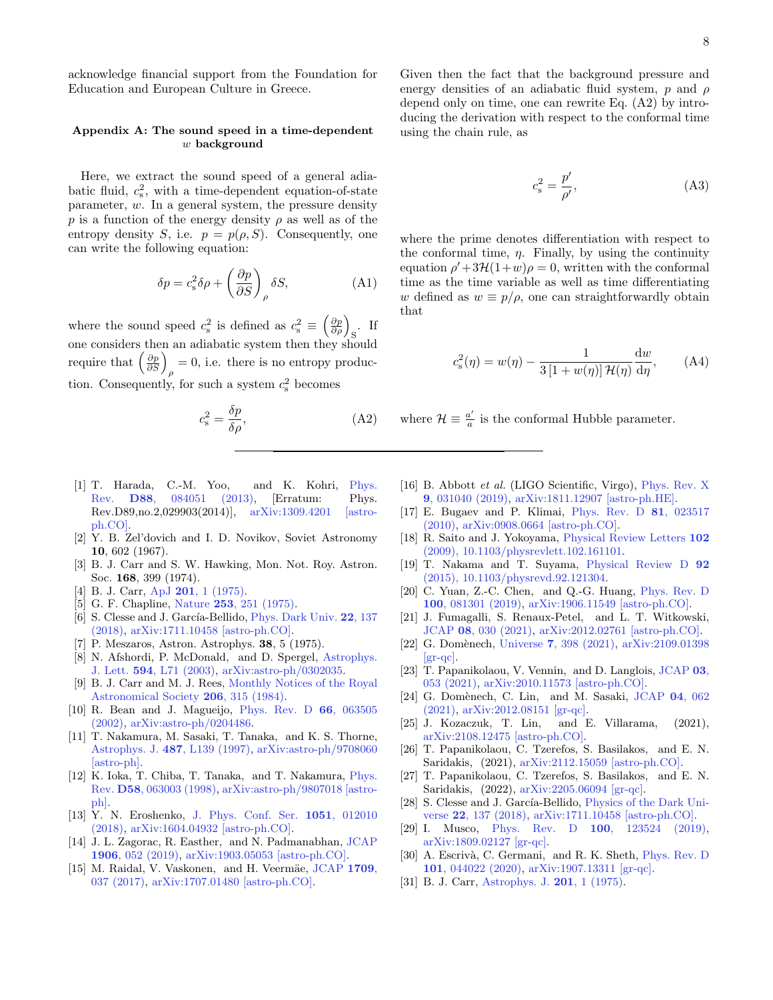acknowledge financial support from the Foundation for Education and European Culture in Greece.

# <span id="page-7-23"></span>Appendix A: The sound speed in a time-dependent  $w$  background

Here, we extract the sound speed of a general adiabatic fluid,  $c_s^2$ , with a time-dependent equation-of-state parameter, w. In a general system, the pressure density p is a function of the energy density  $\rho$  as well as of the entropy density S, i.e.  $p = p(\rho, S)$ . Consequently, one can write the following equation:

$$
\delta p = c_s^2 \delta \rho + \left(\frac{\partial p}{\partial S}\right)_{\rho} \delta S, \tag{A1}
$$

where the sound speed  $c_s^2$  is defined as  $c_s^2 \equiv \left(\frac{\partial p}{\partial \rho}\right)_{\rm S}$ . If one considers then an adiabatic system then they should require that  $\left(\frac{\partial p}{\partial S}\right)_{\rho} = 0$ , i.e. there is no entropy production. Consequently, for such a system  $c_s^2$  becomes

<span id="page-7-25"></span>
$$
c_{\rm s}^2 = \frac{\delta p}{\delta \rho},\tag{A2}
$$

- <span id="page-7-0"></span>[1] T. Harada, C.-M. Yoo, and K. Kohri, [Phys.](http://dx.doi.org/10.1103/PhysRevD.88.084051, 10.1103/PhysRevD.89.029903) Rev. D88[, 084051 \(2013\),](http://dx.doi.org/10.1103/PhysRevD.88.084051, 10.1103/PhysRevD.89.029903) [Erratum: Phys. Rev.D89,no.2,029903(2014)], [arXiv:1309.4201 \[astro](http://arxiv.org/abs/1309.4201)[ph.CO\].](http://arxiv.org/abs/1309.4201)
- <span id="page-7-1"></span>[2] Y. B. Zel'dovich and I. D. Novikov, Soviet Astronomy 10, 602 (1967).
- [3] B. J. Carr and S. W. Hawking, Mon. Not. Roy. Astron. Soc. 168, 399 (1974).
- <span id="page-7-2"></span>[4] B. J. Carr, ApJ **201**[, 1 \(1975\).](http://dx.doi.org/10.1086/153853)
- <span id="page-7-3"></span>[5] G. F. Chapline, Nature 253[, 251 \(1975\).](http://dx.doi.org/10.1038/253251a0)
- <span id="page-7-4"></span>[6] S. Clesse and J. García-Bellido, *[Phys. Dark Univ.](http://dx.doi.org/10.1016/j.dark.2018.08.004)* 22, 137 [\(2018\),](http://dx.doi.org/10.1016/j.dark.2018.08.004) [arXiv:1711.10458 \[astro-ph.CO\].](http://arxiv.org/abs/1711.10458)
- <span id="page-7-5"></span>[7] P. Meszaros, Astron. Astrophys. 38, 5 (1975).
- <span id="page-7-6"></span>[8] N. Afshordi, P. McDonald, and D. Spergel, [Astrophys.](http://dx.doi.org/10.1086/378763) J. Lett. 594[, L71 \(2003\),](http://dx.doi.org/10.1086/378763) [arXiv:astro-ph/0302035.](http://arxiv.org/abs/astro-ph/0302035)
- <span id="page-7-7"></span>[9] B. J. Carr and M. J. Rees, [Monthly Notices of the Royal](http://dx.doi.org/10.1093/mnras/206.2.315) [Astronomical Society](http://dx.doi.org/10.1093/mnras/206.2.315) 206, 315 (1984).
- <span id="page-7-8"></span>[10] R. Bean and J. Magueijo, [Phys. Rev. D](http://dx.doi.org/10.1103/PhysRevD.66.063505) 66, 063505 [\(2002\),](http://dx.doi.org/10.1103/PhysRevD.66.063505) [arXiv:astro-ph/0204486.](http://arxiv.org/abs/astro-ph/0204486)
- <span id="page-7-9"></span>[11] T. Nakamura, M. Sasaki, T. Tanaka, and K. S. Thorne, Astrophys. J. 487[, L139 \(1997\),](http://dx.doi.org/ 10.1086/310886) [arXiv:astro-ph/9708060](http://arxiv.org/abs/astro-ph/9708060) [\[astro-ph\].](http://arxiv.org/abs/astro-ph/9708060)
- [12] K. Ioka, T. Chiba, T. Tanaka, and T. Nakamura, [Phys.](http://dx.doi.org/ 10.1103/PhysRevD.58.063003) Rev. D58[, 063003 \(1998\),](http://dx.doi.org/ 10.1103/PhysRevD.58.063003) [arXiv:astro-ph/9807018 \[astro](http://arxiv.org/abs/astro-ph/9807018)[ph\].](http://arxiv.org/abs/astro-ph/9807018)
- [13] Y. N. Eroshenko, [J. Phys. Conf. Ser.](http://dx.doi.org/10.1088/1742-6596/1051/1/012010) 1051, 012010 [\(2018\),](http://dx.doi.org/10.1088/1742-6596/1051/1/012010) [arXiv:1604.04932 \[astro-ph.CO\].](http://arxiv.org/abs/1604.04932)
- <span id="page-7-24"></span>[14] J. L. Zagorac, R. Easther, and N. Padmanabhan, [JCAP](http://dx.doi.org/10.1088/1475-7516/2019/06/052) 1906[, 052 \(2019\),](http://dx.doi.org/10.1088/1475-7516/2019/06/052) [arXiv:1903.05053 \[astro-ph.CO\].](http://arxiv.org/abs/1903.05053)
- <span id="page-7-10"></span>[15] M. Raidal, V. Vaskonen, and H. Veermäe, [JCAP](http://dx.doi.org/10.1088/1475-7516/2017/09/037) 1709, [037 \(2017\),](http://dx.doi.org/10.1088/1475-7516/2017/09/037) [arXiv:1707.01480 \[astro-ph.CO\].](http://arxiv.org/abs/1707.01480)

Given then the fact that the background pressure and energy densities of an adiabatic fluid system,  $p$  and  $\rho$ depend only on time, one can rewrite Eq. [\(A2\)](#page-7-25) by introducing the derivation with respect to the conformal time using the chain rule, as

$$
c_{\rm s}^2 = \frac{p'}{\rho'},\tag{A3}
$$

where the prime denotes differentiation with respect to the conformal time,  $\eta$ . Finally, by using the continuity equation  $\rho' + 3\mathcal{H}(1+w)\rho = 0$ , written with the conformal time as the time variable as well as time differentiating w defined as  $w \equiv p/\rho$ , one can straightforwardly obtain that

$$
c_s^2(\eta) = w(\eta) - \frac{1}{3\left[1 + w(\eta)\right]\mathcal{H}(\eta)}\frac{\mathrm{d}w}{\mathrm{d}\eta},\qquad\text{(A4)}
$$

where  $\mathcal{H} \equiv \frac{a'}{a}$  $\frac{a'}{a}$  is the conformal Hubble parameter.

- <span id="page-7-11"></span>[16] B. Abbott et al. (LIGO Scientific, Virgo), [Phys. Rev. X](http://dx.doi.org/10.1103/PhysRevX.9.031040) 9[, 031040 \(2019\),](http://dx.doi.org/10.1103/PhysRevX.9.031040) [arXiv:1811.12907 \[astro-ph.HE\].](http://arxiv.org/abs/1811.12907)
- <span id="page-7-12"></span>[17] E. Bugaev and P. Klimai, [Phys. Rev. D](http://dx.doi.org/10.1103/PhysRevD.81.023517) 81, 023517 [\(2010\),](http://dx.doi.org/10.1103/PhysRevD.81.023517) [arXiv:0908.0664 \[astro-ph.CO\].](http://arxiv.org/abs/0908.0664)
- [18] R. Saito and J. Yokoyama, [Physical Review Letters](http://dx.doi.org/10.1103/physrevlett.102.161101) 102 [\(2009\), 10.1103/physrevlett.102.161101.](http://dx.doi.org/10.1103/physrevlett.102.161101)
- [19] T. Nakama and T. Suyama, [Physical Review D](http://dx.doi.org/10.1103/physrevd.92.121304) 92 [\(2015\), 10.1103/physrevd.92.121304.](http://dx.doi.org/10.1103/physrevd.92.121304)
- [20] C. Yuan, Z.-C. Chen, and Q.-G. Huang, [Phys. Rev. D](http://dx.doi.org/10.1103/PhysRevD.100.081301) 100[, 081301 \(2019\),](http://dx.doi.org/10.1103/PhysRevD.100.081301) [arXiv:1906.11549 \[astro-ph.CO\].](http://arxiv.org/abs/1906.11549)
- <span id="page-7-13"></span>[21] J. Fumagalli, S. Renaux-Petel, and L. T. Witkowski, JCAP 08[, 030 \(2021\),](http://dx.doi.org/10.1088/1475-7516/2021/08/030) [arXiv:2012.02761 \[astro-ph.CO\].](http://arxiv.org/abs/2012.02761)
- <span id="page-7-14"></span>[22] G. Domènech, Universe 7[, 398 \(2021\),](http://dx.doi.org/10.3390/universe7110398) [arXiv:2109.01398](http://arxiv.org/abs/2109.01398)  $\left[\text{gr-qc}\right]$ .
- <span id="page-7-15"></span>[23] T. Papanikolaou, V. Vennin, and D. Langlois, [JCAP](http://dx.doi.org/10.1088/1475-7516/2021/03/053) 03, [053 \(2021\),](http://dx.doi.org/10.1088/1475-7516/2021/03/053) [arXiv:2010.11573 \[astro-ph.CO\].](http://arxiv.org/abs/2010.11573)
- [24] G. Domènech, C. Lin, and M. Sasaki, [JCAP](http://dx.doi.org/10.1088/1475-7516/2021/04/062) 04, 062 [\(2021\),](http://dx.doi.org/10.1088/1475-7516/2021/04/062) [arXiv:2012.08151 \[gr-qc\].](http://arxiv.org/abs/2012.08151)
- <span id="page-7-16"></span>[25] J. Kozaczuk, T. Lin, and E. Villarama, (2021), [arXiv:2108.12475 \[astro-ph.CO\].](http://arxiv.org/abs/2108.12475)
- <span id="page-7-17"></span>[26] T. Papanikolaou, C. Tzerefos, S. Basilakos, and E. N. Saridakis, (2021), [arXiv:2112.15059 \[astro-ph.CO\].](http://arxiv.org/abs/2112.15059)
- <span id="page-7-18"></span>[27] T. Papanikolaou, C. Tzerefos, S. Basilakos, and E. N. Saridakis, (2022), [arXiv:2205.06094 \[gr-qc\].](http://arxiv.org/abs/2205.06094)
- <span id="page-7-19"></span>[28] S. Clesse and J. García-Bellido, [Physics of the Dark Uni](http://dx.doi.org/10.1016/j.dark.2018.08.004)verse 22[, 137 \(2018\),](http://dx.doi.org/10.1016/j.dark.2018.08.004) [arXiv:1711.10458 \[astro-ph.CO\].](http://arxiv.org/abs/1711.10458)
- <span id="page-7-20"></span>[29] I. Musco, Phys. Rev. D 100[, 123524 \(2019\),](http://dx.doi.org/10.1103/PhysRevD.100.123524) [arXiv:1809.02127 \[gr-qc\].](http://arxiv.org/abs/1809.02127)
- <span id="page-7-21"></span>[30] A. Escrivà, C. Germani, and R. K. Sheth, [Phys. Rev. D](http://dx.doi.org/10.1103/PhysRevD.101.044022) 101[, 044022 \(2020\),](http://dx.doi.org/10.1103/PhysRevD.101.044022) [arXiv:1907.13311 \[gr-qc\].](http://arxiv.org/abs/1907.13311)
- <span id="page-7-22"></span>[31] B. J. Carr, [Astrophys. J.](http://dx.doi.org/10.1086/153853) 201, 1 (1975).